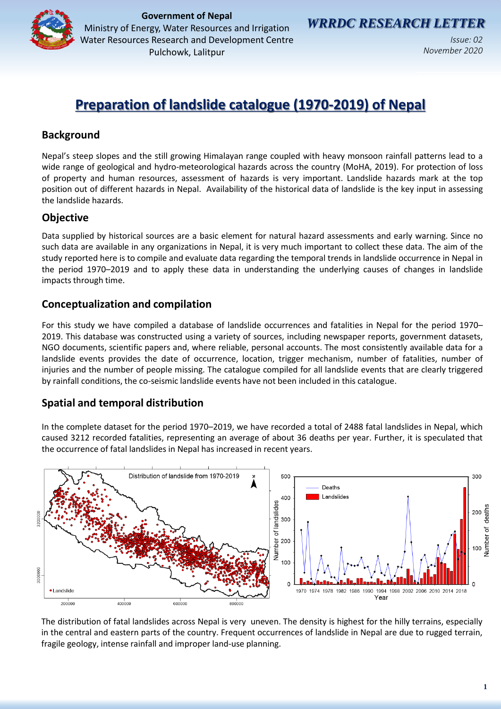

**Government of Nepal**<br> **Government of Nepal EXERCH LETTER** Ministry of Energy, Water Resources and Irrigation Water Resources Research and Development Centre Pulchowk, Lalitpur

*Issue: 02 November 2020*

# **Preparation of landslide catalogue (1970-2019) of Nepal**

## **Background**

Nepal's steep slopes and the still growing Himalayan range coupled with heavy monsoon rainfall patterns lead to a wide range of geological and hydro-meteorological hazards across the country (MoHA, 2019). For protection of loss of property and human resources, assessment of hazards is very important. Landslide hazards mark at the top position out of different hazards in Nepal. Availability of the historical data of landslide is the key input in assessing the landslide hazards.

## **Objective**

Data supplied by historical sources are a basic element for natural hazard assessments and early warning. Since no such data are available in any organizations in Nepal, it is very much important to collect these data. The aim of the study reported here is to compile and evaluate data regarding the temporal trends in landslide occurrence in Nepal in the period 1970–2019 and to apply these data in understanding the underlying causes of changes in landslide impacts through time.

## **Conceptualization and compilation**

For this study we have compiled a database of landslide occurrences and fatalities in Nepal for the period 1970– 2019. This database was constructed using a variety of sources, including newspaper reports, government datasets, NGO documents, scientific papers and, where reliable, personal accounts. The most consistently available data for a landslide events provides the date of occurrence, location, trigger mechanism, number of fatalities, number of injuries and the number of people missing. The catalogue compiled for all landslide events that are clearly triggered by rainfall conditions, the co-seismic landslide events have not been included in this catalogue.

# **Spatial and temporal distribution**

In the complete dataset for the period 1970–2019, we have recorded a total of 2488 fatal landslides in Nepal, which caused 3212 recorded fatalities, representing an average of about 36 deaths per year. Further, it is speculated that the occurrence of fatal landslides in Nepal has increased in recent years.



The distribution of fatal landslides across Nepal is very uneven. The density is highest for the hilly terrains, especially in the central and eastern parts of the country. Frequent occurrences of landslide in Nepal are due to rugged terrain, fragile geology, intense rainfall and improper land-use planning.